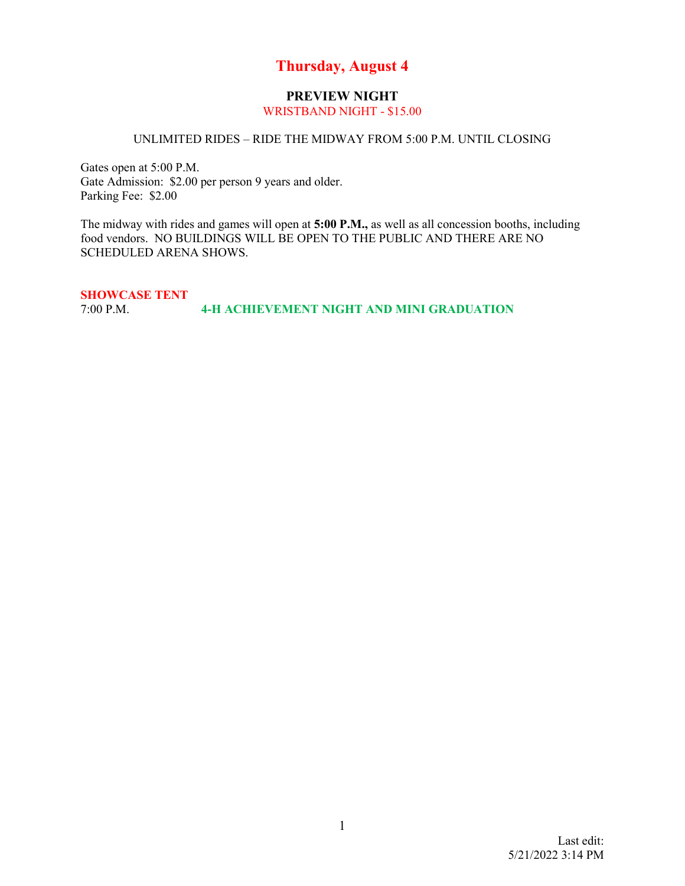### **Thursday, August 4**

## **PREVIEW NIGHT**

### WRISTBAND NIGHT - \$15.00

#### UNLIMITED RIDES – RIDE THE MIDWAY FROM 5:00 P.M. UNTIL CLOSING

Gates open at 5:00 P.M. Gate Admission: \$2.00 per person 9 years and older. Parking Fee: \$2.00

The midway with rides and games will open at **5:00 P.M.,** as well as all concession booths, including food vendors. NO BUILDINGS WILL BE OPEN TO THE PUBLIC AND THERE ARE NO SCHEDULED ARENA SHOWS.

**SHOWCASE TENT**<br>7:00 P.M. 7:00 P.M. **4-H ACHIEVEMENT NIGHT AND MINI GRADUATION**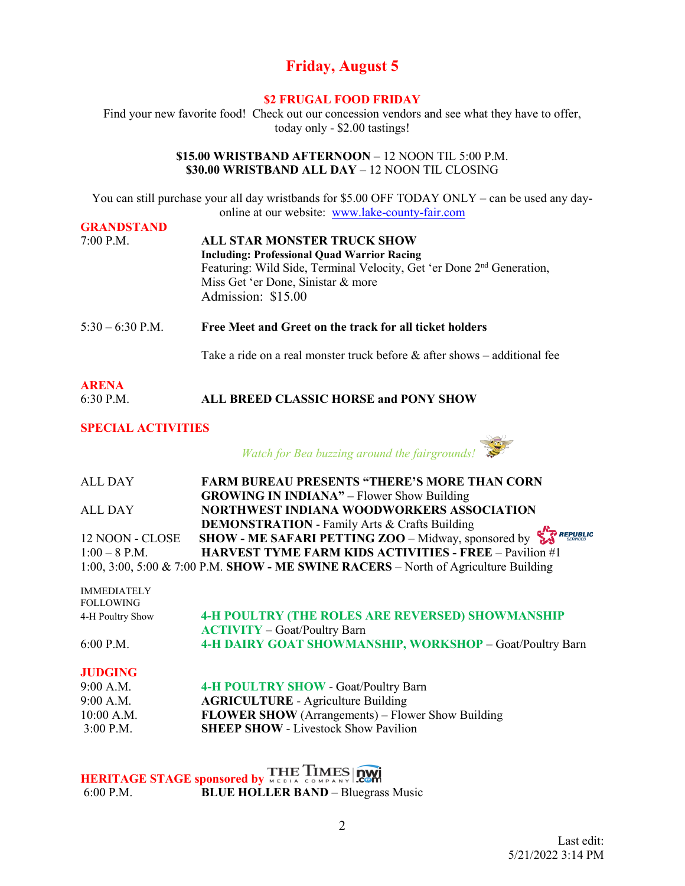### **Friday, August 5**

#### **\$2 FRUGAL FOOD FRIDAY**

Find your new favorite food! Check out our concession vendors and see what they have to offer, today only - \$2.00 tastings!

#### **\$15.00 WRISTBAND AFTERNOON** – 12 NOON TIL 5:00 P.M. **\$30.00 WRISTBAND ALL DAY** – 12 NOON TIL CLOSING

You can still purchase your all day wristbands for \$5.00 OFF TODAY ONLY – can be used any dayonline at our website: [www.lake-county-fair.com](http://www.lake-county-fair.com/)  **GRANDSTAND**

| <b>GRANDSTAND</b> |                                                                                   |
|-------------------|-----------------------------------------------------------------------------------|
| $7:00$ P.M.       | <b>ALL STAR MONSTER TRUCK SHOW</b>                                                |
|                   | <b>Including: Professional Quad Warrior Racing</b>                                |
|                   | Featuring: Wild Side, Terminal Velocity, Get 'er Done 2 <sup>nd</sup> Generation, |
|                   | Miss Get 'er Done, Sinistar & more                                                |
|                   | Admission: \$15.00                                                                |
|                   |                                                                                   |
|                   |                                                                                   |

5:30 – 6:30 P.M. **Free Meet and Greet on the track for all ticket holders**

Take a ride on a real monster truck before  $\&$  after shows – additional fee

| <b>ARENA</b> |                                       |
|--------------|---------------------------------------|
| $6:30$ P.M.  | ALL BREED CLASSIC HORSE and PONY SHOW |

#### **SPECIAL ACTIVITIES**

*Watch for Bea buzzing around the fairgrounds!* 

| ALL DAY         | <b>FARM BUREAU PRESENTS "THERE'S MORE THAN CORN</b>                                 |
|-----------------|-------------------------------------------------------------------------------------|
|                 | <b>GROWING IN INDIANA"</b> – Flower Show Building                                   |
| ALL DAY         | NORTHWEST INDIANA WOODWORKERS ASSOCIATION                                           |
|                 | <b>DEMONSTRATION - Family Arts &amp; Crafts Building</b>                            |
| 12 NOON - CLOSE | SHOW - ME SAFARI PETTING ZOO - Midway, sponsored by $\sum_{\text{S/NICE}}$ REPUBLIC |
| $1:00-8$ P.M.   | <b>HARVEST TYME FARM KIDS ACTIVITIES - FREE - Pavilion #1</b>                       |
|                 | 1:00, 3:00, 5:00 & 7:00 P.M. SHOW - ME SWINE RACERS – North of Agriculture Building |

| <b>IMMEDIATELY</b><br><b>FOLLOWING</b> |                                                          |
|----------------------------------------|----------------------------------------------------------|
| 4-H Poultry Show                       | <b>4-H POULTRY (THE ROLES ARE REVERSED) SHOWMANSHIP</b>  |
|                                        | <b>ACTIVITY</b> – Goat/Poultry Barn                      |
| $6:00$ P.M.                            | 4-H DAIRY GOAT SHOWMANSHIP, WORKSHOP - Goat/Poultry Barn |

#### **JUDGING**

| 9:00 A.M.   | <b>4-H POULTRY SHOW - Goat/Poultry Barn</b>              |
|-------------|----------------------------------------------------------|
| 9:00 A.M.   | <b>AGRICULTURE</b> - Agriculture Building                |
| 10:00 A.M.  | <b>FLOWER SHOW</b> (Arrangements) – Flower Show Building |
| $3:00$ P.M. | <b>SHEEP SHOW - Livestock Show Pavilion</b>              |

**HERITAGE STAGE sponsored by**  6:00 P.M. **BLUE HOLLER BAND** – Bluegrass Music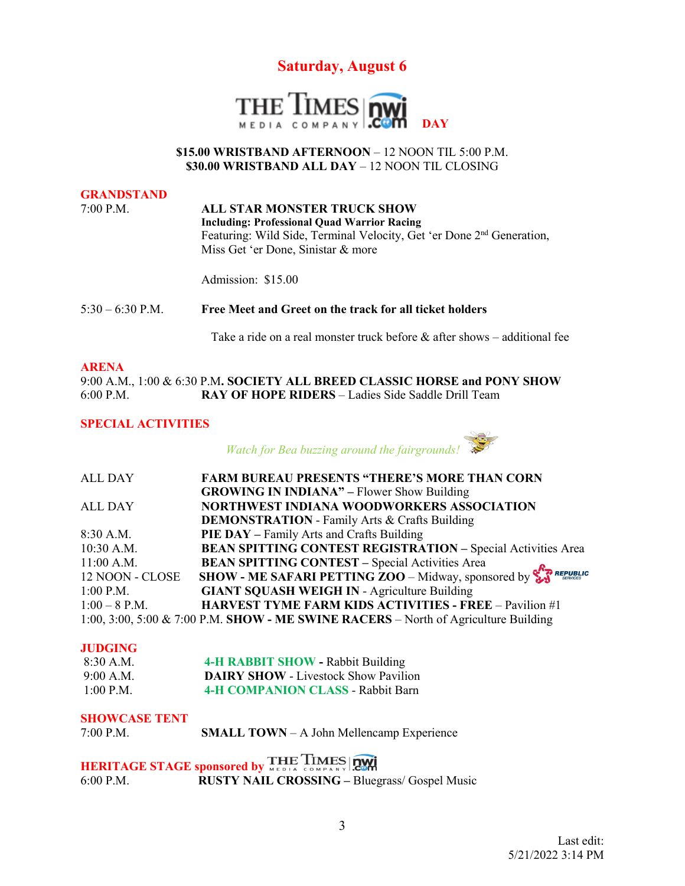



#### **\$15.00 WRISTBAND AFTERNOON** – 12 NOON TIL 5:00 P.M. **\$30.00 WRISTBAND ALL DAY** – 12 NOON TIL CLOSING

#### **GRANDSTAND**

7:00 P.M. **ALL STAR MONSTER TRUCK SHOW Including: Professional Quad Warrior Racing** Featuring: Wild Side, Terminal Velocity, Get 'er Done 2<sup>nd</sup> Generation, Miss Get 'er Done, Sinistar & more

Admission: \$15.00

5:30 – 6:30 P.M. **Free Meet and Greet on the track for all ticket holders**

Take a ride on a real monster truck before  $\&$  after shows – additional fee

#### **ARENA**

9:00 A.M., 1:00 & 6:30 P.M**. SOCIETY ALL BREED CLASSIC HORSE and PONY SHOW**  6:00 P.M. **RAY OF HOPE RIDERS** – Ladies Side Saddle Drill Team

#### **SPECIAL ACTIVITIES**



| <b>ALL DAY</b>  | <b>FARM BUREAU PRESENTS "THERE'S MORE THAN CORN</b>                                           |
|-----------------|-----------------------------------------------------------------------------------------------|
|                 | <b>GROWING IN INDIANA"</b> – Flower Show Building                                             |
| <b>ALL DAY</b>  | NORTHWEST INDIANA WOODWORKERS ASSOCIATION                                                     |
|                 | <b>DEMONSTRATION</b> - Family Arts & Crafts Building                                          |
| $8:30$ A.M.     | <b>PIE DAY</b> – Family Arts and Crafts Building                                              |
| $10:30$ A.M.    | <b>BEAN SPITTING CONTEST REGISTRATION - Special Activities Area</b>                           |
| $11:00$ A.M.    | <b>BEAN SPITTING CONTEST - Special Activities Area</b>                                        |
| 12 NOON - CLOSE | SHOW - ME SAFARI PETTING $\overline{ZOO}$ - Midway, sponsored by $\sum_{\text{S/N}}$ REPUBLIC |
| $1:00$ P.M.     | <b>GIANT SQUASH WEIGH IN - Agriculture Building</b>                                           |
| $1:00 - 8$ P.M. | <b>HARVEST TYME FARM KIDS ACTIVITIES - FREE - Pavilion #1</b>                                 |
|                 | 1:00, 3:00, 5:00 & 7:00 P.M. SHOW - ME SWINE RACERS – North of Agriculture Building           |

#### **JUDGING**

| 8:30 A.M.   | <b>4-H RABBIT SHOW - Rabbit Building</b>    |
|-------------|---------------------------------------------|
| 9:00 A.M.   | <b>DAIRY SHOW - Livestock Show Pavilion</b> |
| $1:00$ P.M. | <b>4-H COMPANION CLASS - Rabbit Barn</b>    |

#### **SHOWCASE TENT**

| 7:00 P.M. | <b>SMALL TOWN</b> - A John Mellencamp Experience |
|-----------|--------------------------------------------------|

**HERITAGE STAGE sponsored by THE TIMES TWI** 6:00 P.M. **RUSTY NAIL CROSSING –** Bluegrass/ Gospel Music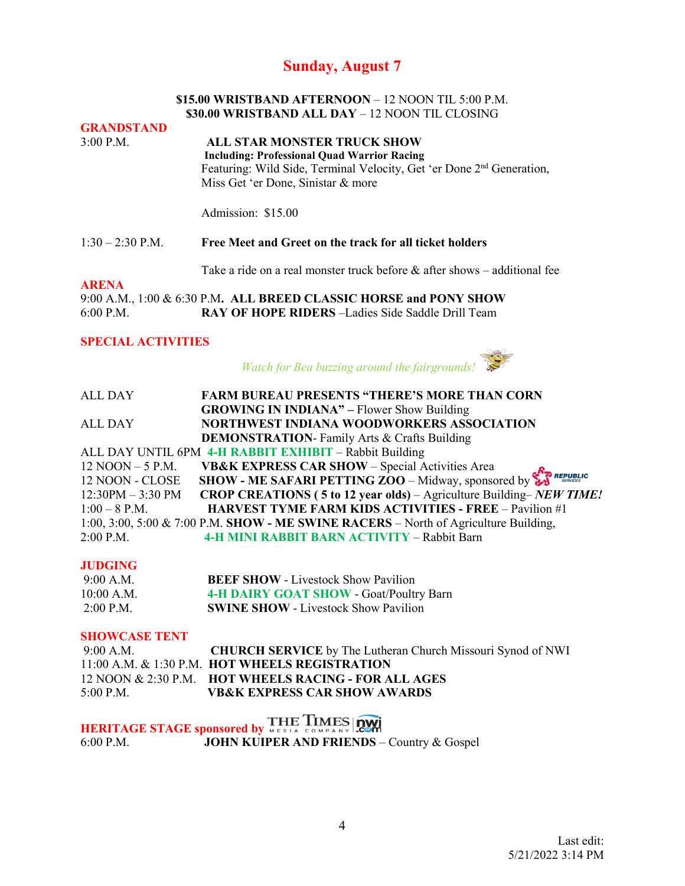### **Sunday, August 7**

#### **\$15.00 WRISTBAND AFTERNOON** – 12 NOON TIL 5:00 P.M. **\$30.00 WRISTBAND ALL DAY** – 12 NOON TIL CLOSING

**GRANDSTAND**  3:00 P.M. **ALL STAR MONSTER TRUCK SHOW Including: Professional Quad Warrior Racing** Featuring: Wild Side, Terminal Velocity, Get 'er Done 2nd Generation, Miss Get 'er Done, Sinistar & more Admission: \$15.00

#### 1:30 – 2:30 P.M. **Free Meet and Greet on the track for all ticket holders**

Take a ride on a real monster truck before & after shows – additional fee

#### **ARENA**

9:00 A.M., 1:00 & 6:30 P.M**. ALL BREED CLASSIC HORSE and PONY SHOW**  6:00 P.M. **RAY OF HOPE RIDERS** –Ladies Side Saddle Drill Team

#### **SPECIAL ACTIVITIES**

*Watch for Bea buzzing around the fairgrounds!* 

ALL DAY **FARM BUREAU PRESENTS "THERE'S MORE THAN CORN GROWING IN INDIANA" –** Flower Show Building ALL DAY **NORTHWEST INDIANA WOODWORKERS ASSOCIATION DEMONSTRATION**- Family Arts & Crafts Building ALL DAY UNTIL 6PM **4-H RABBIT EXHIBIT** – Rabbit Building 12 NOON – 5 P.M. **VB&K EXPRESS CAR SHOW** – Special Activities Area **REPUBLIC** 12 NOON - CLOSE **SHOW - ME SAFARI PETTING ZOO** – Midway, sponsored by 12:30PM – 3:30 PM **CROP CREATIONS ( 5 to 12 year olds)** – Agriculture Building– *NEW TIME!* 1:00 – 8 P.M. **HARVEST TYME FARM KIDS ACTIVITIES - FREE** – Pavilion #1 1:00, 3:00, 5:00 & 7:00 P.M. **SHOW - ME SWINE RACERS** – North of Agriculture Building, 2:00 P.M. **4-H MINI RABBIT BARN ACTIVITY** – Rabbit Barn

#### **JUDGING**

| 9:00 A.M.   | <b>BEEF SHOW - Livestock Show Pavilion</b>  |
|-------------|---------------------------------------------|
| 10:00 A.M.  | 4-H DAIRY GOAT SHOW - Goat/Poultry Barn     |
| $2:00$ P.M. | <b>SWINE SHOW - Livestock Show Pavilion</b> |

#### **SHOWCASE TENT**

| $9:00$ A.M. | <b>CHURCH SERVICE</b> by The Lutheran Church Missouri Synod of NWI |
|-------------|--------------------------------------------------------------------|
|             | 11:00 A.M. & 1:30 P.M. HOT WHEELS REGISTRATION                     |
|             | 12 NOON & 2:30 P.M. HOT WHEELS RACING - FOR ALL AGES               |
| $5:00$ P.M. | <b>VB&amp;K EXPRESS CAR SHOW AWARDS</b>                            |

**HERITAGE STAGE sponsored by WEBLA COMPANY COMPANY** 6:00 P.M. **JOHN KUIPER AND FRIENDS** – Country & Gospel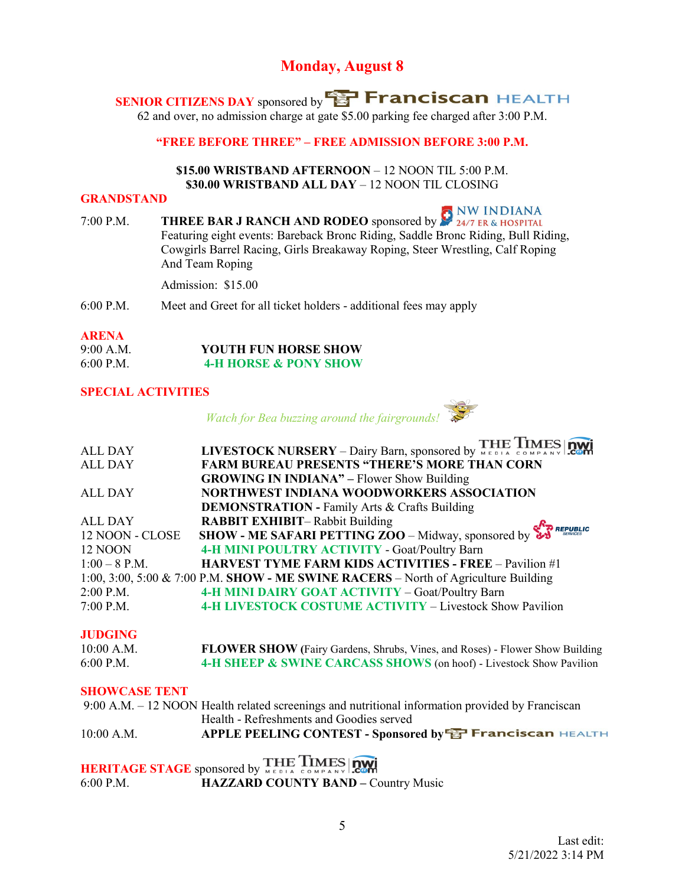### **Monday, August 8**

**SENIOR CITIZENS DAY** sponsored by **SP Franciscan** HEALTH

62 and over, no admission charge at gate \$5.00 parking fee charged after 3:00 P.M.

**"FREE BEFORE THREE" – FREE ADMISSION BEFORE 3:00 P.M.** 

#### **\$15.00 WRISTBAND AFTERNOON** – 12 NOON TIL 5:00 P.M. **\$30.00 WRISTBAND ALL DAY** – 12 NOON TIL CLOSING

#### **GRANDSTAND**

7:00 P.M. **THREE BAR J RANCH AND RODEO** sponsored by  $\sum_{24/7}^{9}$  NW INDIANA Featuring eight events: Bareback Bronc Riding, Saddle Bronc Riding, Bull Riding, Cowgirls Barrel Racing, Girls Breakaway Roping, Steer Wrestling, Calf Roping And Team Roping

Admission: \$15.00

6:00 P.M. Meet and Greet for all ticket holders - additional fees may apply

#### **ARENA**

| 9:00 A.M.   | <b>YOUTH FUN HORSE SHOW</b>      |
|-------------|----------------------------------|
| $6:00$ P.M. | <b>4-H HORSE &amp; PONY SHOW</b> |

#### **SPECIAL ACTIVITIES**

*Watch for Bea buzzing around the fairgrounds!*

|                 | LIVESTOCK NURSERY - Dairy Barn, sponsored by THE TIMES 2011                                       |
|-----------------|---------------------------------------------------------------------------------------------------|
| <b>ALL DAY</b>  |                                                                                                   |
| <b>ALL DAY</b>  | <b>FARM BUREAU PRESENTS "THERE'S MORE THAN CORN</b>                                               |
|                 | <b>GROWING IN INDIANA"</b> – Flower Show Building                                                 |
| <b>ALL DAY</b>  | NORTHWEST INDIANA WOODWORKERS ASSOCIATION                                                         |
|                 | <b>DEMONSTRATION - Family Arts &amp; Crafts Building</b>                                          |
| <b>ALL DAY</b>  | <b>RABBIT EXHIBIT-Rabbit Building</b>                                                             |
| 12 NOON - CLOSE | SHOW - ME SAFARI PETTING $\overline{200}$ – Midway, sponsored by $\overline{\mathbf{S}}$ REPUBLIC |
| 12 NOON         | 4-H MINI POULTRY ACTIVITY - Goat/Poultry Barn                                                     |
| $1:00 - 8$ P.M. | <b>HARVEST TYME FARM KIDS ACTIVITIES - FREE - Pavilion #1</b>                                     |
|                 | 1:00, 3:00, 5:00 & 7:00 P.M. SHOW - ME SWINE RACERS – North of Agriculture Building               |
| 2:00 P.M.       | 4-H MINI DAIRY GOAT ACTIVITY - Goat/Poultry Barn                                                  |
| 7:00 P.M.       | 4-H LIVESTOCK COSTUME ACTIVITY - Livestock Show Pavilion                                          |
|                 |                                                                                                   |

#### **JUDGING**

| 10:00 A.M.  | <b>FLOWER SHOW</b> (Fairy Gardens, Shrubs, Vines, and Roses) - Flower Show Building |
|-------------|-------------------------------------------------------------------------------------|
| $6:00$ P.M. | 4-H SHEEP & SWINE CARCASS SHOWS (on hoof) - Livestock Show Pavilion                 |

#### **SHOWCASE TENT**

|              | 9:00 A.M. – 12 NOON Health related screenings and nutritional information provided by Franciscan |
|--------------|--------------------------------------------------------------------------------------------------|
|              | Health - Refreshments and Goodies served                                                         |
| $10:00$ A.M. | APPLE PEELING CONTEST - Sponsored by <b>EP Franciscan HEALTH</b>                                 |
|              |                                                                                                  |

## **HERITAGE STAGE** sponsored by MEDIA COMPANY COM<br>6:00 P.M. **HAZZARD COUNTY BAND - C HAZZARD COUNTY BAND – Country Music**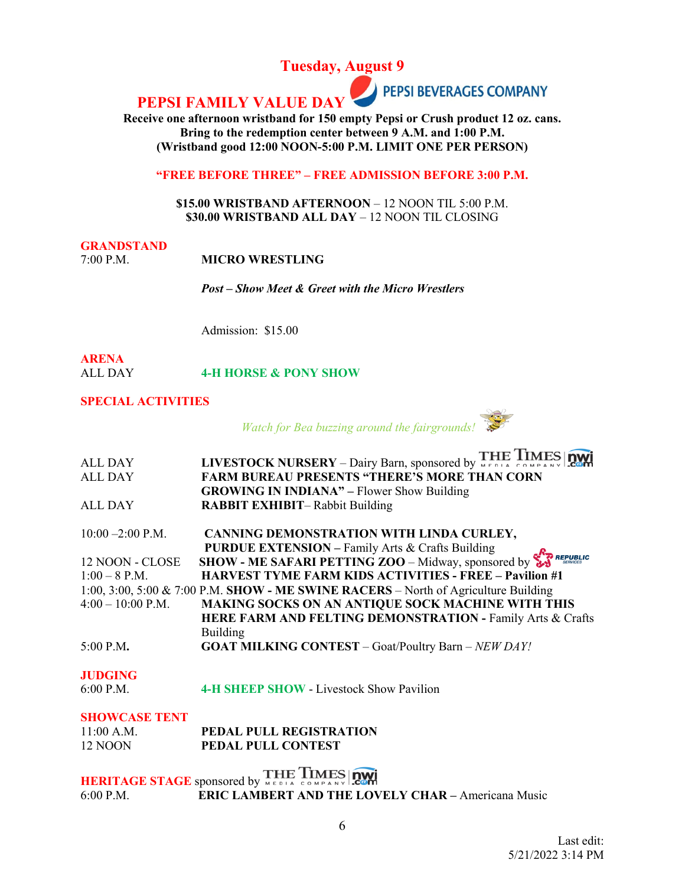**Tuesday, August 9**

**PEPSI BEVERAGES COMPANY PEPSI FAMILY VALUE D** 

**Receive one afternoon wristband for 150 empty Pepsi or Crush product 12 oz. cans. Bring to the redemption center between 9 A.M. and 1:00 P.M. (Wristband good 12:00 NOON-5:00 P.M. LIMIT ONE PER PERSON)**

**"FREE BEFORE THREE" – FREE ADMISSION BEFORE 3:00 P.M.** 

**\$15.00 WRISTBAND AFTERNOON** – 12 NOON TIL 5:00 P.M. **\$30.00 WRISTBAND ALL DAY** – 12 NOON TIL CLOSING

### **GRANDSTAND**

7:00 P.M. **MICRO WRESTLING**

*Post – Show Meet & Greet with the Micro Wrestlers*

Admission: \$15.00

#### **ARENA** ALL DAY **4-H HORSE & PONY SHOW**

#### **SPECIAL ACTIVITIES**

*Watch for Bea buzzing around the fairgrounds!* 



# **JUDGING**<br>6:00 P.M.

**4-H SHEEP SHOW - Livestock Show Pavilion** 

#### **SHOWCASE TENT**

| $11:00$ A.M. | <b>PEDAL PULL REGISTRATION</b> |
|--------------|--------------------------------|
| 12 NOON      | <b>PEDAL PULL CONTEST</b>      |

**HERITAGE STAGE** sponsored by THE TIMES 6:00 P.M. **ERIC LAMBERT AND THE LOVELY CHAR –** Americana Music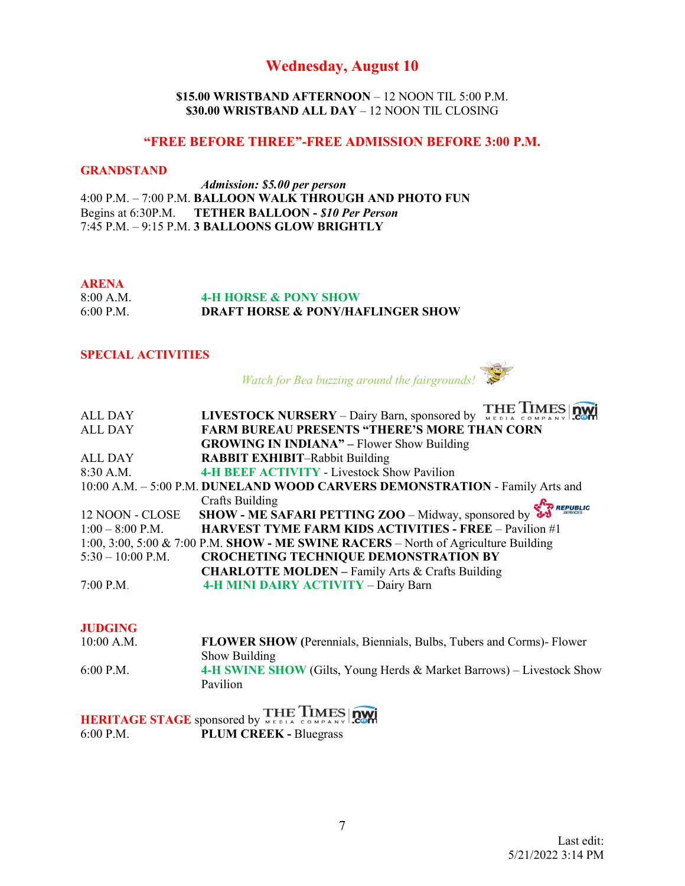### **Wednesday, August 10**

#### **\$15.00 WRISTBAND AFTERNOON** – 12 NOON TIL 5:00 P.M. **\$30.00 WRISTBAND ALL DAY** – 12 NOON TIL CLOSING

#### **"FREE BEFORE THREE"-FREE ADMISSION BEFORE 3:00 P.M.**

#### **GRANDSTAND**

 *Admission: \$5.00 per person*  4:00 P.M. – 7:00 P.M. **BALLOON WALK THROUGH AND PHOTO FUN** Begins at 6:30P.M. **TETHER BALLOON -** *\$10 Per Person* 7:45 P.M. – 9:15 P.M. **3 BALLOONS GLOW BRIGHTLY**

#### **ARENA**

8:00 A.M. **4-H HORSE & PONY SHOW**<br>6:00 P.M. **DRAFT HORSE & PONY/HA DRAFT HORSE & PONY/HAFLINGER SHOW** 

### **SPECIAL ACTIVITIES**

 *Watch for Bea buzzing around the fairgrounds!*

| <b>ALL DAY</b>      | LIVESTOCK NURSERY – Dairy Barn, sponsored by THE LIMES DWI                          |
|---------------------|-------------------------------------------------------------------------------------|
| <b>ALL DAY</b>      | <b>FARM BUREAU PRESENTS "THERE'S MORE THAN CORN</b>                                 |
|                     | <b>GROWING IN INDIANA"</b> – Flower Show Building                                   |
| <b>ALL DAY</b>      | <b>RABBIT EXHIBIT-Rabbit Building</b>                                               |
| 8:30 A.M.           | <b>4-H BEEF ACTIVITY - Livestock Show Pavilion</b>                                  |
|                     | 10:00 A.M. - 5:00 P.M. DUNELAND WOOD CARVERS DEMONSTRATION - Family Arts and        |
|                     | Crafts Building<br>REPUBLIC                                                         |
| 12 NOON - CLOSE     | <b>SHOW - ME SAFARI PETTING ZOO</b> – Midway, sponsored by $\overline{\mathbf{v}}$  |
| $1:00 - 8:00$ P.M.  | <b>HARVEST TYME FARM KIDS ACTIVITIES - FREE - Pavilion #1</b>                       |
|                     | 1:00, 3:00, 5:00 & 7:00 P.M. SHOW - ME SWINE RACERS – North of Agriculture Building |
| $5:30 - 10:00$ P.M. | <b>CROCHETING TECHNIQUE DEMONSTRATION BY</b>                                        |
|                     | <b>CHARLOTTE MOLDEN - Family Arts &amp; Crafts Building</b>                         |
| $7:00$ P.M.         | 4-H MINI DAIRY ACTIVITY - Dairy Barn                                                |
|                     |                                                                                     |

#### **JUDGING**

| 10:00 A.M.  | <b>FLOWER SHOW (Perennials, Biennials, Bulbs, Tubers and Corms)</b> - Flower |
|-------------|------------------------------------------------------------------------------|
|             | Show Building                                                                |
| $6:00$ P.M. | 4-H SWINE SHOW (Gilts, Young Herds & Market Barrows) – Livestock Show        |
|             | Pavilion                                                                     |

**HERITAGE STAGE** sponsored by **THE TIMES QUARE 6:00 P.M.**<br>6:00 P.M. PLUM CREEK - Bluegrass PLUM CREEK - Bluegrass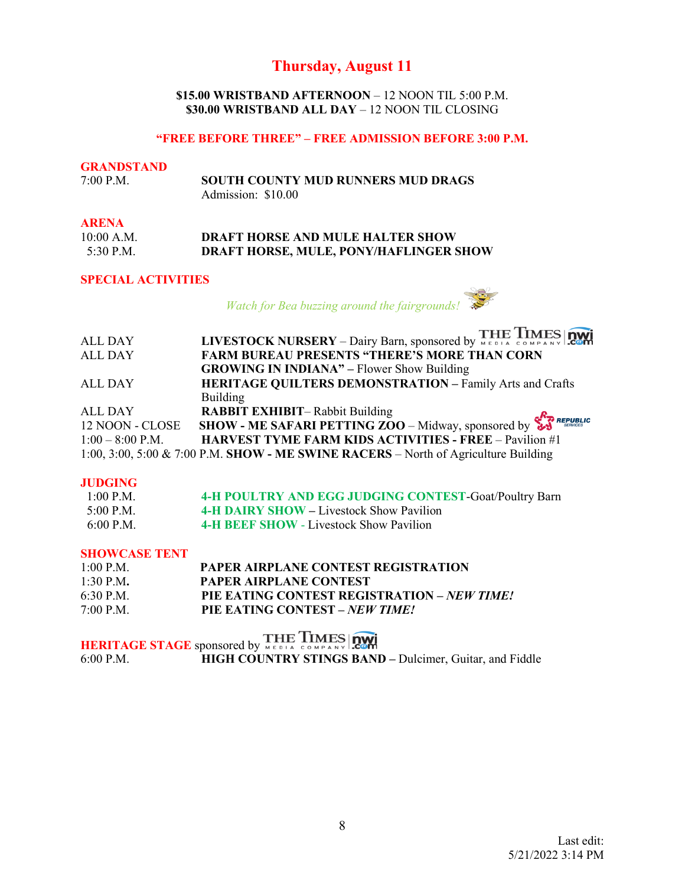### **Thursday, August 11**

**\$15.00 WRISTBAND AFTERNOON** – 12 NOON TIL 5:00 P.M. **\$30.00 WRISTBAND ALL DAY** – 12 NOON TIL CLOSING

#### **"FREE BEFORE THREE" – FREE ADMISSION BEFORE 3:00 P.M.**

### **GRANDSTAND**<br>7:00 P.M. 7:00 P.M. **SOUTH COUNTY MUD RUNNERS MUD DRAGS** Admission: \$10.00

#### **ARENA**

| 10:00 A.M. | <b>DRAFT HORSE AND MULE HALTER SHOW</b> |
|------------|-----------------------------------------|
| 5:30 P.M.  | DRAFT HORSE, MULE, PONY/HAFLINGER SHOW  |

#### **SPECIAL ACTIVITIES**

 *Watch for Bea buzzing around the fairgrounds!* 

|                    | LIVESTOCK NURSERY - Dairy Barn, sponsored by WEDIA COMPANY COMP                     |
|--------------------|-------------------------------------------------------------------------------------|
| <b>ALL DAY</b>     |                                                                                     |
| <b>ALL DAY</b>     | <b>FARM BUREAU PRESENTS "THERE'S MORE THAN CORN</b>                                 |
|                    | <b>GROWING IN INDIANA"</b> – Flower Show Building                                   |
| <b>ALL DAY</b>     | <b>HERITAGE QUILTERS DEMONSTRATION - Family Arts and Crafts</b>                     |
|                    | Building                                                                            |
| <b>ALL DAY</b>     | <b>RABBIT EXHIBIT-Rabbit Building</b>                                               |
| 12 NOON - CLOSE    | SHOW - ME SAFARI PETTING ZOO - Midway, sponsored by $\sum_{s \text{ increase}}$     |
| $1:00 - 8:00$ P.M. | <b>HARVEST TYME FARM KIDS ACTIVITIES - FREE - Pavilion #1</b>                       |
|                    | 1:00, 3:00, 5:00 & 7:00 P.M. SHOW - ME SWINE RACERS – North of Agriculture Building |

#### **JUDGING**

| $1:00$ P.M. | 4-H POULTRY AND EGG JUDGING CONTEST-Goat/Poultry Barn |
|-------------|-------------------------------------------------------|
| $5:00$ P.M. | 4-H DAIRY SHOW – Livestock Show Pavilion              |
| $6:00$ P.M. | 4-H BEEF SHOW - Livestock Show Pavilion               |

### **SHOWCASE TENT**

| $1:00$ P.M. | <b>PAPER AIRPLANE CONTEST REGISTRATION</b>         |
|-------------|----------------------------------------------------|
| $1:30$ P.M. | PAPER AIRPLANE CONTEST                             |
| $6:30$ P.M. | PIE EATING CONTEST REGISTRATION – <i>NEW TIME!</i> |
| $7:00$ P.M. | PIE EATING CONTEST – NEW TIME!                     |

**HERITAGE STAGE** sponsored by WERLA COMPANY STINGS BAND 6:00 P.M. **HIGH COUNTRY STINGS BAND** HIGH COUNTRY STINGS BAND – Dulcimer, Guitar, and Fiddle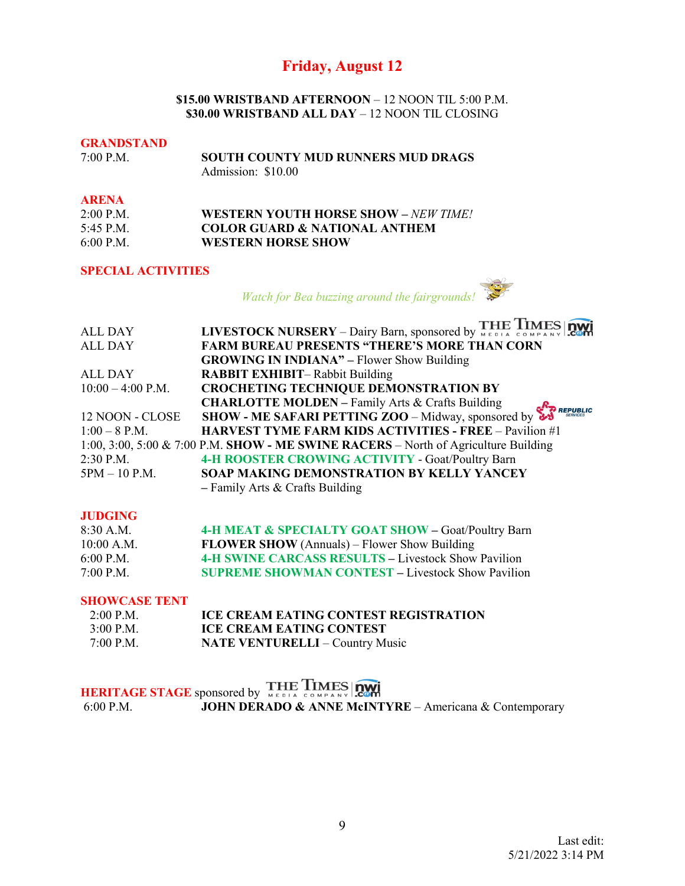### **Friday, August 12**

#### **\$15.00 WRISTBAND AFTERNOON** – 12 NOON TIL 5:00 P.M. **\$30.00 WRISTBAND ALL DAY** – 12 NOON TIL CLOSING

#### **GRANDSTAND**

| $7:00$ P.M. | <b>SOUTH COUNTY MUD RUNNERS MUD DRAGS</b> |
|-------------|-------------------------------------------|
|             | Admission: \$10.00                        |

#### **ARENA**

| $2:00$ P.M. | WESTERN YOUTH HORSE SHOW – NEW TIME!     |
|-------------|------------------------------------------|
| $5:45$ P.M. | <b>COLOR GUARD &amp; NATIONAL ANTHEM</b> |
| 6:00 P.M.   | <b>WESTERN HORSE SHOW</b>                |

#### **SPECIAL ACTIVITIES**

*Watch for Bea buzzing around the fairgrounds!*

| ALL DAY             | LIVESTOCK NURSERY – Dairy Barn, sponsored by THE TIMES DWI                                                                                     |
|---------------------|------------------------------------------------------------------------------------------------------------------------------------------------|
| <b>ALL DAY</b>      | <b>FARM BUREAU PRESENTS "THERE'S MORE THAN CORN</b>                                                                                            |
|                     | <b>GROWING IN INDIANA"</b> – Flower Show Building                                                                                              |
| <b>ALL DAY</b>      | <b>RABBIT EXHIBIT-Rabbit Building</b>                                                                                                          |
| $10:00 - 4:00$ P.M. | <b>CROCHETING TECHNIQUE DEMONSTRATION BY</b>                                                                                                   |
|                     | <b>CHARLOTTE MOLDEN - Family Arts &amp; Crafts Building</b>                                                                                    |
| 12 NOON - CLOSE     | SHOW - ME SAFARI PETTING ZOO - Midway, sponsored by $\sum_{s \text{ times}}^{\text{R}}$ REPUBLIC HADVEST TVALE EACH COO - Midway, sponsored by |
| $1:00 - 8$ P.M.     | <b>HARVEST TYME FARM KIDS ACTIVITIES - FREE - Pavilion #1</b>                                                                                  |
|                     | 1:00, 3:00, 5:00 & 7:00 P.M. SHOW - ME SWINE RACERS – North of Agriculture Building                                                            |
| 2:30 P.M.           | 4-H ROOSTER CROWING ACTIVITY - Goat/Poultry Barn                                                                                               |
| $5PM - 10 P.M.$     | SOAP MAKING DEMONSTRATION BY KELLY YANCEY                                                                                                      |
|                     | - Family Arts & Crafts Building                                                                                                                |

#### **JUDGING**

| 8:30 A.M.   | 4-H MEAT & SPECIALTY GOAT SHOW - Goat/Poultry Barn         |
|-------------|------------------------------------------------------------|
| 10:00 A.M.  | <b>FLOWER SHOW</b> (Annuals) – Flower Show Building        |
| $6:00$ P.M. | <b>4-H SWINE CARCASS RESULTS – Livestock Show Pavilion</b> |
| $7:00$ P.M. | <b>SUPREME SHOWMAN CONTEST – Livestock Show Pavilion</b>   |

#### **SHOWCASE TENT**

| $2:00$ P.M. | <b>ICE CREAM EATING CONTEST REGISTRATION</b> |
|-------------|----------------------------------------------|
| $3:00$ P.M. | <b>ICE CREAM EATING CONTEST</b>              |
| $7:00$ P.M. | <b>NATE VENTURELLI – Country Music</b>       |

## **HERITAGE STAGE** sponsored by **THE TIMES OWER**<br>6:00 P.M. **JOHN DERADO & ANNE MCINT JOHN DERADO & ANNE McINTYRE - Americana & Contemporary**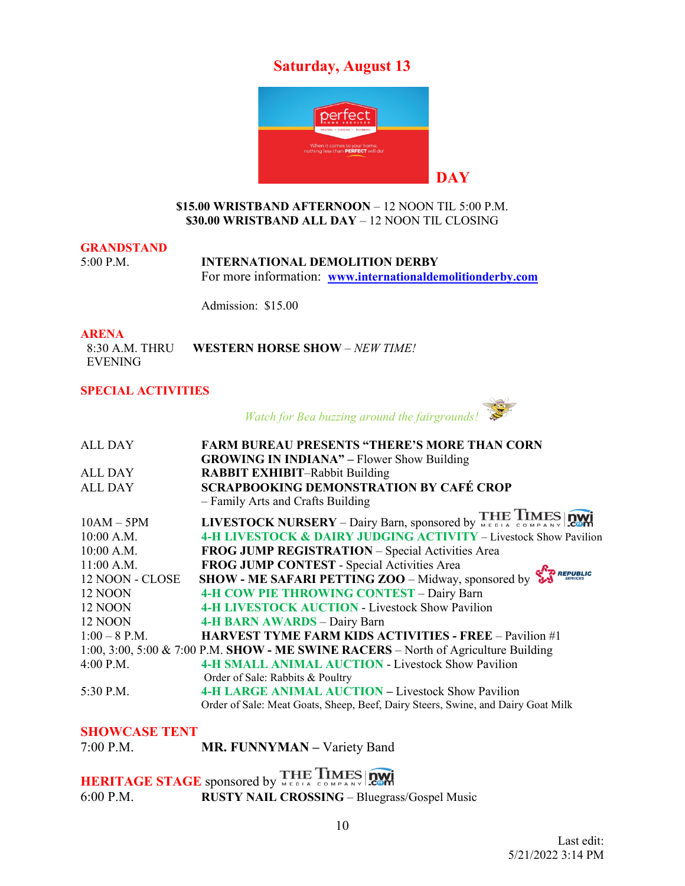### **Saturday, August 13**



#### **\$15.00 WRISTBAND AFTERNOON** – 12 NOON TIL 5:00 P.M. **\$30.00 WRISTBAND ALL DAY** – 12 NOON TIL CLOSING

### **GRANDSTAND**

5:00 P.M. **INTERNATIONAL DEMOLITION DERBY**  For more information: **[www.internationaldemolitionderby.com](http://www.internationaldemolitionderby.com/)**

Admission: \$15.00

**ARENA**<br>8:30 A.M. THRU 8:30 A.M. THRU **WESTERN HORSE SHOW** – *NEW TIME!* EVENING

#### **SPECIAL ACTIVITIES**

*Watch for Bea buzzing around the fairgrounds!* 

| <b>ALL DAY</b>  | <b>FARM BUREAU PRESENTS "THERE'S MORE THAN CORN</b>                                 |
|-----------------|-------------------------------------------------------------------------------------|
|                 | <b>GROWING IN INDIANA"</b> – Flower Show Building                                   |
| ALL DAY         | <b>RABBIT EXHIBIT-Rabbit Building</b>                                               |
| <b>ALL DAY</b>  | <b>SCRAPBOOKING DEMONSTRATION BY CAFÉ CROP</b>                                      |
|                 | - Family Arts and Crafts Building                                                   |
| $10AM - 5PM$    | LIVESTOCK NURSERY - Dairy Barn, sponsored by THE TIMES DWI                          |
| 10:00 A.M.      | 4-H LIVESTOCK & DAIRY JUDGING ACTIVITY - Livestock Show Pavilion                    |
| 10:00 A.M.      | FROG JUMP REGISTRATION - Special Activities Area                                    |
| $11:00$ A.M.    | FROG JUMP CONTEST - Special Activities Area                                         |
| 12 NOON - CLOSE | REPUBLIC<br><b>SHOW - ME SAFARI PETTING ZOO</b> – Midway, sponsored by              |
| 12 NOON         | 4-H COW PIE THROWING CONTEST - Dairy Barn                                           |
| 12 NOON         | <b>4-H LIVESTOCK AUCTION - Livestock Show Pavilion</b>                              |
| 12 NOON         | <b>4-H BARN AWARDS - Dairy Barn</b>                                                 |
| $1:00-8$ P.M.   | <b>HARVEST TYME FARM KIDS ACTIVITIES - FREE - Pavilion #1</b>                       |
|                 | 1:00, 3:00, 5:00 & 7:00 P.M. SHOW - ME SWINE RACERS - North of Agriculture Building |
| 4:00 P.M.       | <b>4-H SMALL ANIMAL AUCTION - Livestock Show Pavilion</b>                           |
|                 | Order of Sale: Rabbits & Poultry                                                    |
| 5:30 P.M.       | <b>4-H LARGE ANIMAL AUCTION – Livestock Show Pavilion</b>                           |
|                 | Order of Sale: Meat Goats, Sheep, Beef, Dairy Steers, Swine, and Dairy Goat Milk    |
|                 |                                                                                     |

#### **SHOWCASE TENT**

7:00 P.M. **MR. FUNNYMAN –** Variety Band

**HERITAGE STAGE** sponsored by 6:00 P.M. **RUSTY NAIL CROSSING** – Bluegrass/Gospel Music